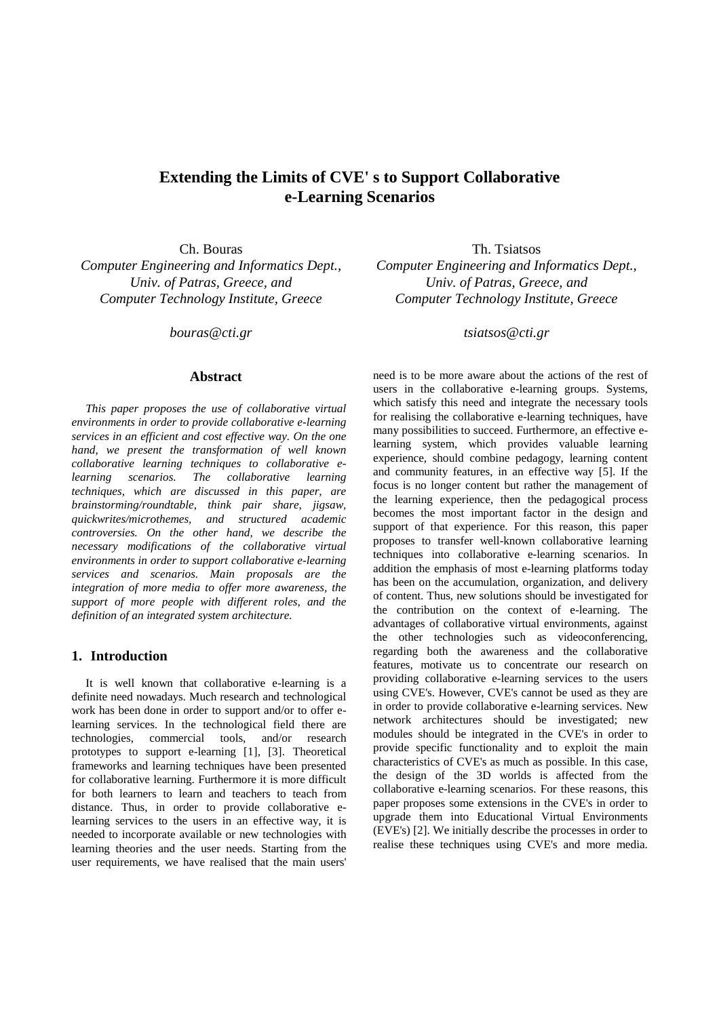# **Extending the Limits of CVE' s to Support Collaborative e-Learning Scenarios**

*Computer Engineering and Informatics Dept., Univ. of Patras, Greece, and Computer Technology Institute, Greece* 

*bouras@cti.gr*

## **Abstract**

*This paper proposes the use of collaborative virtual environments in order to provide collaborative e-learning services in an efficient and cost effective way. On the one hand, we present the transformation of well known collaborative learning techniques to collaborative elearning scenarios. The collaborative learning techniques, which are discussed in this paper, are brainstorming/roundtable, think pair share, jigsaw, quickwrites/microthemes, and structured academic controversies. On the other hand, we describe the necessary modifications of the collaborative virtual environments in order to support collaborative e-learning services and scenarios. Main proposals are the integration of more media to offer more awareness, the support of more people with different roles, and the definition of an integrated system architecture.* 

# **1. Introduction**

It is well known that collaborative e-learning is a definite need nowadays. Much research and technological work has been done in order to support and/or to offer elearning services. In the technological field there are technologies, commercial tools, and/or research prototypes to support e-learning [1], [3]. Theoretical frameworks and learning techniques have been presented for collaborative learning. Furthermore it is more difficult for both learners to learn and teachers to teach from distance. Thus, in order to provide collaborative elearning services to the users in an effective way, it is needed to incorporate available or new technologies with learning theories and the user needs. Starting from the user requirements, we have realised that the main users'

Ch. Bouras Th. Tsiatsos *Computer Engineering and Informatics Dept., Univ. of Patras, Greece, and Computer Technology Institute, Greece* 

*tsiatsos@cti.gr*

need is to be more aware about the actions of the rest of users in the collaborative e-learning groups. Systems, which satisfy this need and integrate the necessary tools for realising the collaborative e-learning techniques, have many possibilities to succeed. Furthermore, an effective elearning system, which provides valuable learning experience, should combine pedagogy, learning content and community features, in an effective way [5]. If the focus is no longer content but rather the management of the learning experience, then the pedagogical process becomes the most important factor in the design and support of that experience. For this reason, this paper proposes to transfer well-known collaborative learning techniques into collaborative e-learning scenarios. In addition the emphasis of most e-learning platforms today has been on the accumulation, organization, and delivery of content. Thus, new solutions should be investigated for the contribution on the context of e-learning. The advantages of collaborative virtual environments, against the other technologies such as videoconferencing, regarding both the awareness and the collaborative features, motivate us to concentrate our research on providing collaborative e-learning services to the users using CVE's. However, CVE's cannot be used as they are in order to provide collaborative e-learning services. New network architectures should be investigated; new modules should be integrated in the CVE's in order to provide specific functionality and to exploit the main characteristics of CVE's as much as possible. In this case, the design of the 3D worlds is affected from the collaborative e-learning scenarios. For these reasons, this paper proposes some extensions in the CVE's in order to upgrade them into Educational Virtual Environments (EVE's) [2]. We initially describe the processes in order to realise these techniques using CVE's and more media.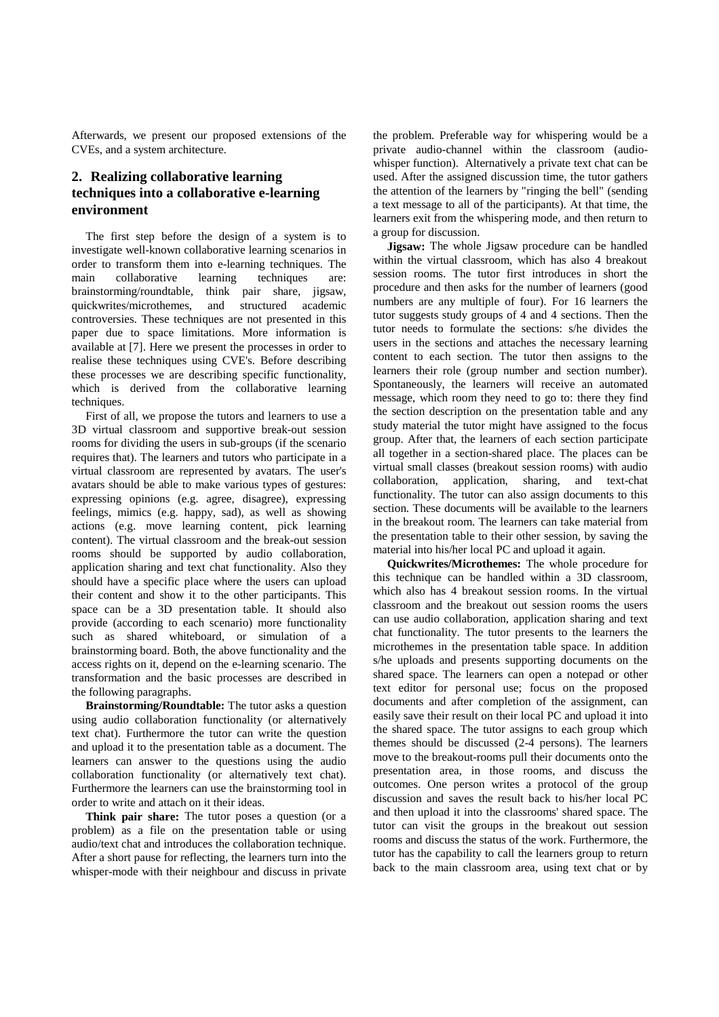Afterwards, we present our proposed extensions of the CVEs, and a system architecture.

# **2. Realizing collaborative learning techniques into a collaborative e-learning environment**

The first step before the design of a system is to investigate well-known collaborative learning scenarios in order to transform them into e-learning techniques. The main collaborative learning techniques are: brainstorming/roundtable, think pair share, jigsaw, quickwrites/microthemes, and structured academic controversies. These techniques are not presented in this paper due to space limitations. More information is available at [7]. Here we present the processes in order to realise these techniques using CVE's. Before describing these processes we are describing specific functionality, which is derived from the collaborative learning techniques.

First of all, we propose the tutors and learners to use a 3D virtual classroom and supportive break-out session rooms for dividing the users in sub-groups (if the scenario requires that). The learners and tutors who participate in a virtual classroom are represented by avatars. The user's avatars should be able to make various types of gestures: expressing opinions (e.g. agree, disagree), expressing feelings, mimics (e.g. happy, sad), as well as showing actions (e.g. move learning content, pick learning content). The virtual classroom and the break-out session rooms should be supported by audio collaboration, application sharing and text chat functionality. Also they should have a specific place where the users can upload their content and show it to the other participants. This space can be a 3D presentation table. It should also provide (according to each scenario) more functionality such as shared whiteboard, or simulation of a brainstorming board. Both, the above functionality and the access rights on it, depend on the e-learning scenario. The transformation and the basic processes are described in the following paragraphs.

**Brainstorming/Roundtable:** The tutor asks a question using audio collaboration functionality (or alternatively text chat). Furthermore the tutor can write the question and upload it to the presentation table as a document. The learners can answer to the questions using the audio collaboration functionality (or alternatively text chat). Furthermore the learners can use the brainstorming tool in order to write and attach on it their ideas.

**Think pair share:** The tutor poses a question (or a problem) as a file on the presentation table or using audio/text chat and introduces the collaboration technique. After a short pause for reflecting, the learners turn into the whisper-mode with their neighbour and discuss in private

the problem. Preferable way for whispering would be a private audio-channel within the classroom (audiowhisper function). Alternatively a private text chat can be used. After the assigned discussion time, the tutor gathers the attention of the learners by "ringing the bell" (sending a text message to all of the participants). At that time, the learners exit from the whispering mode, and then return to a group for discussion.

**Jigsaw:** The whole Jigsaw procedure can be handled within the virtual classroom, which has also 4 breakout session rooms. The tutor first introduces in short the procedure and then asks for the number of learners (good numbers are any multiple of four). For 16 learners the tutor suggests study groups of 4 and 4 sections. Then the tutor needs to formulate the sections: s/he divides the users in the sections and attaches the necessary learning content to each section. The tutor then assigns to the learners their role (group number and section number). Spontaneously, the learners will receive an automated message, which room they need to go to: there they find the section description on the presentation table and any study material the tutor might have assigned to the focus group. After that, the learners of each section participate all together in a section-shared place. The places can be virtual small classes (breakout session rooms) with audio collaboration, application, sharing, and text-chat functionality. The tutor can also assign documents to this section. These documents will be available to the learners in the breakout room. The learners can take material from the presentation table to their other session, by saving the material into his/her local PC and upload it again.

**Quickwrites/Microthemes:** The whole procedure for this technique can be handled within a 3D classroom, which also has 4 breakout session rooms. In the virtual classroom and the breakout out session rooms the users can use audio collaboration, application sharing and text chat functionality. The tutor presents to the learners the microthemes in the presentation table space. In addition s/he uploads and presents supporting documents on the shared space. The learners can open a notepad or other text editor for personal use; focus on the proposed documents and after completion of the assignment, can easily save their result on their local PC and upload it into the shared space. The tutor assigns to each group which themes should be discussed (2-4 persons). The learners move to the breakout-rooms pull their documents onto the presentation area, in those rooms, and discuss the outcomes. One person writes a protocol of the group discussion and saves the result back to his/her local PC and then upload it into the classrooms' shared space. The tutor can visit the groups in the breakout out session rooms and discuss the status of the work. Furthermore, the tutor has the capability to call the learners group to return back to the main classroom area, using text chat or by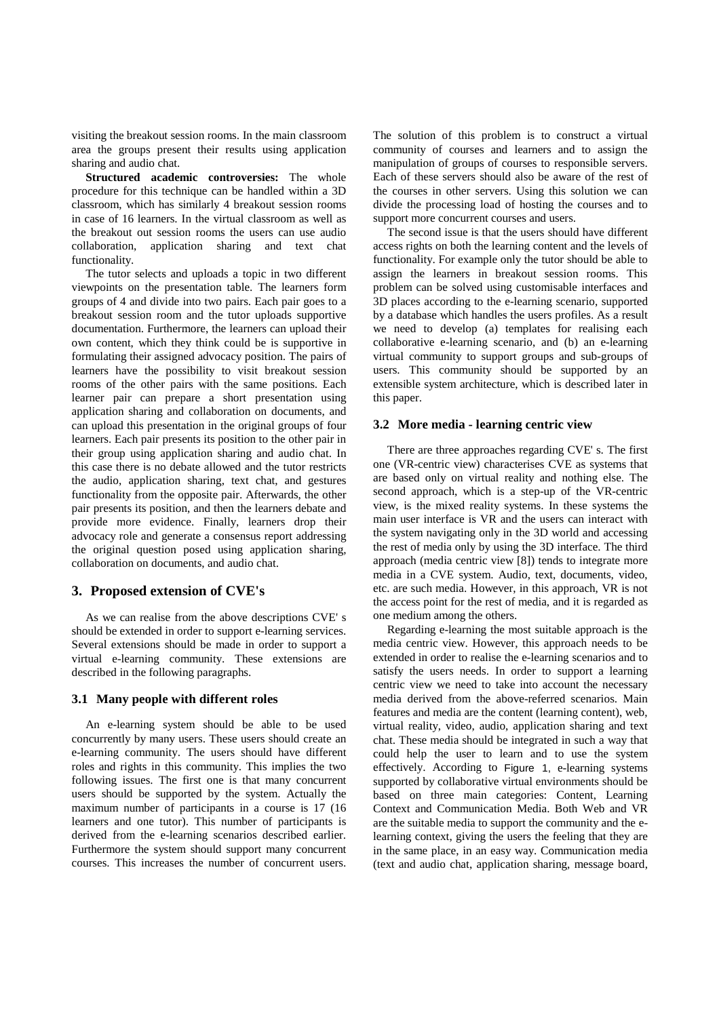visiting the breakout session rooms. In the main classroom area the groups present their results using application sharing and audio chat.

**Structured academic controversies:** The whole procedure for this technique can be handled within a 3D classroom, which has similarly 4 breakout session rooms in case of 16 learners. In the virtual classroom as well as the breakout out session rooms the users can use audio collaboration, application sharing and text chat functionality.

The tutor selects and uploads a topic in two different viewpoints on the presentation table. The learners form groups of 4 and divide into two pairs. Each pair goes to a breakout session room and the tutor uploads supportive documentation. Furthermore, the learners can upload their own content, which they think could be is supportive in formulating their assigned advocacy position. The pairs of learners have the possibility to visit breakout session rooms of the other pairs with the same positions. Each learner pair can prepare a short presentation using application sharing and collaboration on documents, and can upload this presentation in the original groups of four learners. Each pair presents its position to the other pair in their group using application sharing and audio chat. In this case there is no debate allowed and the tutor restricts the audio, application sharing, text chat, and gestures functionality from the opposite pair. Afterwards, the other pair presents its position, and then the learners debate and provide more evidence. Finally, learners drop their advocacy role and generate a consensus report addressing the original question posed using application sharing, collaboration on documents, and audio chat.

#### **3. Proposed extension of CVE's**

As we can realise from the above descriptions CVE' s should be extended in order to support e-learning services. Several extensions should be made in order to support a virtual e-learning community. These extensions are described in the following paragraphs.

#### **3.1 Many people with different roles**

An e-learning system should be able to be used concurrently by many users. These users should create an e-learning community. The users should have different roles and rights in this community. This implies the two following issues. The first one is that many concurrent users should be supported by the system. Actually the maximum number of participants in a course is 17 (16 learners and one tutor). This number of participants is derived from the e-learning scenarios described earlier. Furthermore the system should support many concurrent courses. This increases the number of concurrent users.

The solution of this problem is to construct a virtual community of courses and learners and to assign the manipulation of groups of courses to responsible servers. Each of these servers should also be aware of the rest of the courses in other servers. Using this solution we can divide the processing load of hosting the courses and to support more concurrent courses and users.

The second issue is that the users should have different access rights on both the learning content and the levels of functionality. For example only the tutor should be able to assign the learners in breakout session rooms. This problem can be solved using customisable interfaces and 3D places according to the e-learning scenario, supported by a database which handles the users profiles. As a result we need to develop (a) templates for realising each collaborative e-learning scenario, and (b) an e-learning virtual community to support groups and sub-groups of users. This community should be supported by an extensible system architecture, which is described later in this paper.

#### **3.2 More media - learning centric view**

There are three approaches regarding CVE' s. The first one (VR-centric view) characterises CVE as systems that are based only on virtual reality and nothing else. The second approach, which is a step-up of the VR-centric view, is the mixed reality systems. In these systems the main user interface is VR and the users can interact with the system navigating only in the 3D world and accessing the rest of media only by using the 3D interface. The third approach (media centric view [8]) tends to integrate more media in a CVE system. Audio, text, documents, video, etc. are such media. However, in this approach, VR is not the access point for the rest of media, and it is regarded as one medium among the others.

Regarding e-learning the most suitable approach is the media centric view. However, this approach needs to be extended in order to realise the e-learning scenarios and to satisfy the users needs. In order to support a learning centric view we need to take into account the necessary media derived from the above-referred scenarios. Main features and media are the content (learning content), web, virtual reality, video, audio, application sharing and text chat. These media should be integrated in such a way that could help the user to learn and to use the system effectively. According to Figure 1, e-learning systems supported by collaborative virtual environments should be based on three main categories: Content, Learning Context and Communication Media. Both Web and VR are the suitable media to support the community and the elearning context, giving the users the feeling that they are in the same place, in an easy way. Communication media (text and audio chat, application sharing, message board,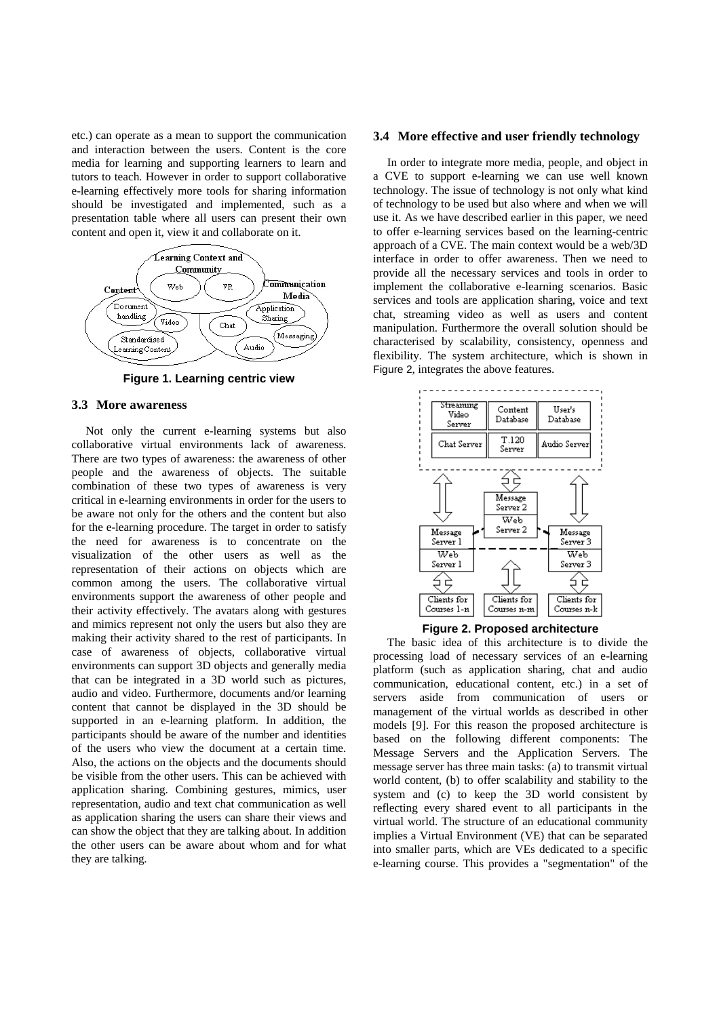etc.) can operate as a mean to support the communication and interaction between the users. Content is the core media for learning and supporting learners to learn and tutors to teach. However in order to support collaborative e-learning effectively more tools for sharing information should be investigated and implemented, such as a presentation table where all users can present their own content and open it, view it and collaborate on it.



**Figure 1. Learning centric view** 

#### **3.3 More awareness**

Not only the current e-learning systems but also collaborative virtual environments lack of awareness. There are two types of awareness: the awareness of other people and the awareness of objects. The suitable combination of these two types of awareness is very critical in e-learning environments in order for the users to be aware not only for the others and the content but also for the e-learning procedure. The target in order to satisfy the need for awareness is to concentrate on the visualization of the other users as well as the representation of their actions on objects which are common among the users. The collaborative virtual environments support the awareness of other people and their activity effectively. The avatars along with gestures and mimics represent not only the users but also they are making their activity shared to the rest of participants. In case of awareness of objects, collaborative virtual environments can support 3D objects and generally media that can be integrated in a 3D world such as pictures, audio and video. Furthermore, documents and/or learning content that cannot be displayed in the 3D should be supported in an e-learning platform. In addition, the participants should be aware of the number and identities of the users who view the document at a certain time. Also, the actions on the objects and the documents should be visible from the other users. This can be achieved with application sharing. Combining gestures, mimics, user representation, audio and text chat communication as well as application sharing the users can share their views and can show the object that they are talking about. In addition the other users can be aware about whom and for what they are talking.

#### **3.4 More effective and user friendly technology**

In order to integrate more media, people, and object in a CVE to support e-learning we can use well known technology. The issue of technology is not only what kind of technology to be used but also where and when we will use it. As we have described earlier in this paper, we need to offer e-learning services based on the learning-centric approach of a CVE. The main context would be a web/3D interface in order to offer awareness. Then we need to provide all the necessary services and tools in order to implement the collaborative e-learning scenarios. Basic services and tools are application sharing, voice and text chat, streaming video as well as users and content manipulation. Furthermore the overall solution should be characterised by scalability, consistency, openness and flexibility. The system architecture, which is shown in Figure 2, integrates the above features.





The basic idea of this architecture is to divide the processing load of necessary services of an e-learning platform (such as application sharing, chat and audio communication, educational content, etc.) in a set of servers aside from communication of users or management of the virtual worlds as described in other models [9]. For this reason the proposed architecture is based on the following different components: The Message Servers and the Application Servers. The message server has three main tasks: (a) to transmit virtual world content, (b) to offer scalability and stability to the system and (c) to keep the 3D world consistent by reflecting every shared event to all participants in the virtual world. The structure of an educational community implies a Virtual Environment (VE) that can be separated into smaller parts, which are VEs dedicated to a specific e-learning course. This provides a "segmentation" of the